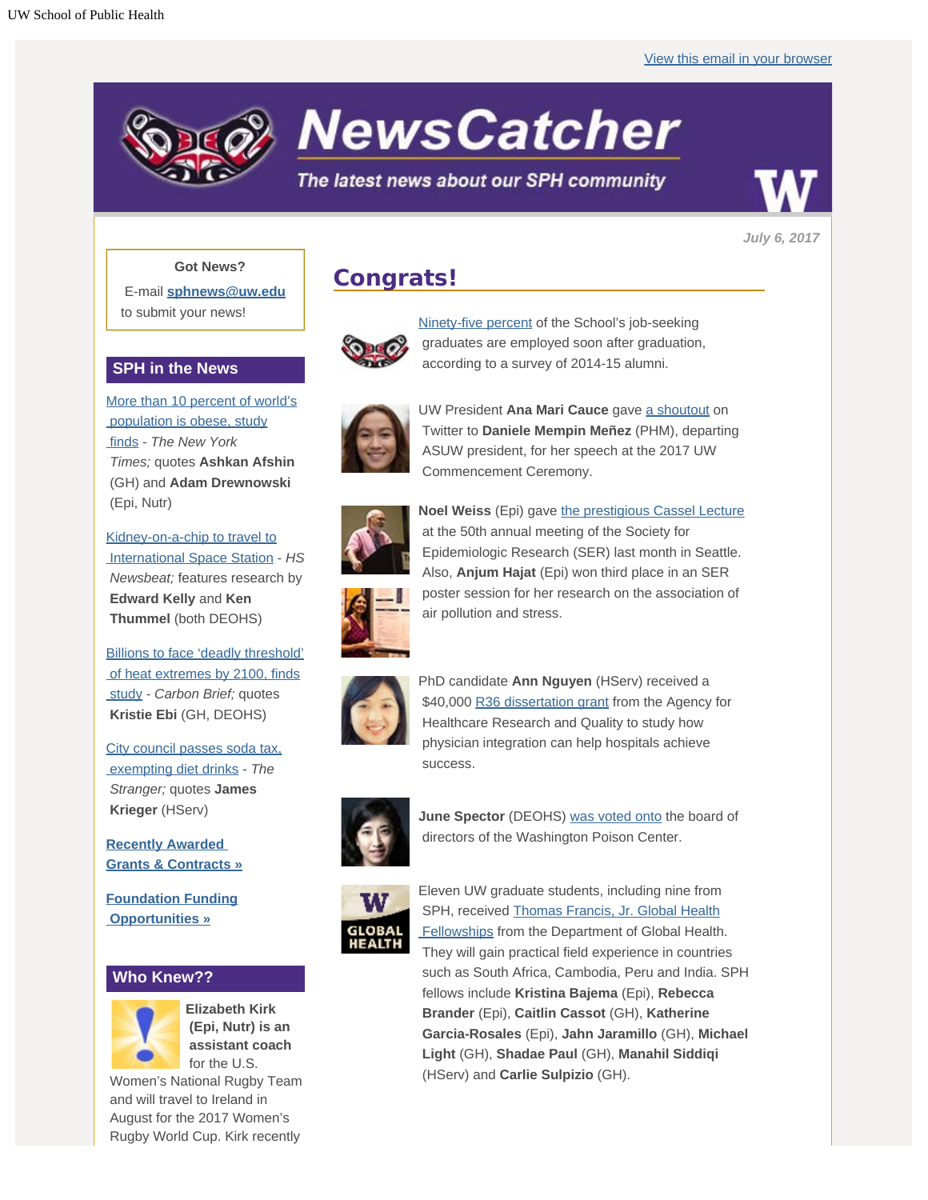

**NewsCatcher** 

### The latest news about our SPH community



*July 6, 2017*

#### **Got News?**

E-mail **[sphnews@uw.edu](mailto:sphnews@uw.edu)** to submit your news!

### **SPH in the News**

[More than 10 percent of world's](http://engage.washington.edu/site/R?i=oGAtyQOKlW9BCUjMLx75xg)  [population is obese, study](http://engage.washington.edu/site/R?i=oGAtyQOKlW9BCUjMLx75xg)  [finds](http://engage.washington.edu/site/R?i=oGAtyQOKlW9BCUjMLx75xg) - *The New York Times;* quotes **Ashkan Afshin** (GH) and **Adam Drewnowski** (Epi, Nutr)

[Kidney-on-a-chip to travel to](http://engage.washington.edu/site/R?i=0mgBnxpFfP_5fJTlWGpbfA)  [International Space Station](http://engage.washington.edu/site/R?i=0mgBnxpFfP_5fJTlWGpbfA) - *HS Newsbeat;* features research by  **Edward Kelly** and **Ken Thummel** (both DEOHS)

[Billions to face 'deadly threshold'](http://engage.washington.edu/site/R?i=Cz0W3EyCtHu-5QSn9TPspw)  [of heat extremes by 2100, finds](http://engage.washington.edu/site/R?i=Cz0W3EyCtHu-5QSn9TPspw)  [study](http://engage.washington.edu/site/R?i=Cz0W3EyCtHu-5QSn9TPspw) - *Carbon Brief;* quotes **Kristie Ebi** (GH, DEOHS)

[City council passes soda tax,](http://engage.washington.edu/site/R?i=Ri7k34GT3a5Ct7kig388Rw)  [exempting diet drinks](http://engage.washington.edu/site/R?i=Ri7k34GT3a5Ct7kig388Rw) - *The Stranger;* quotes **James Krieger** (HServ)

**[Recently Awarded](http://engage.washington.edu/site/R?i=skHRKSdxXg-HjPDfGNFnSw)  [Grants & Contracts »](http://engage.washington.edu/site/R?i=skHRKSdxXg-HjPDfGNFnSw)**

**[Foundation Funding](http://engage.washington.edu/site/R?i=M1wMQeF2o-U_RN9A9JoIYg)  [Opportunities »](http://engage.washington.edu/site/R?i=M1wMQeF2o-U_RN9A9JoIYg)**

### **Who Knew??**



**Elizabeth Kirk (Epi, Nutr) is an assistant coach** for the U.S.

 Women's National Rugby Team and will travel to Ireland in August for the 2017 Women's Rugby World Cup. Kirk recently

## **Congrats!**



[Ninety-five percent](http://engage.washington.edu/site/R?i=r6_OGcSthzXnF3yFzbLeJw) of the School's job-seeking graduates are employed soon after graduation, according to a survey of 2014-15 alumni.



UW President **Ana Mari Cauce** gave [a shoutout](http://engage.washington.edu/site/R?i=mnOUpPVe8yIzP32AE6SavQ) on Twitter to **Daniele Mempin Meñez** (PHM), departing ASUW president, for her speech at the 2017 UW Commencement Ceremony.



**Noel Weiss** (Epi) gave [the prestigious Cassel Lecture](http://engage.washington.edu/site/R?i=Zg0uBWhW7Ab891Hxwq_lpw) at the 50th annual meeting of the Society for Epidemiologic Research (SER) last month in Seattle. Also, **Anjum Hajat** (Epi) won third place in an SER poster session for her research on the association of air pollution and stress.



PhD candidate **Ann Nguyen** (HServ) received a \$40,000 [R36 dissertation grant](http://engage.washington.edu/site/R?i=ZJdd_9NPy_LMsf7r7r6CEg) from the Agency for Healthcare Research and Quality to study how physician integration can help hospitals achieve success.



**June Spector** (DEOHS) [was voted onto](http://engage.washington.edu/site/R?i=eUQatUURHob852ts6IB5kA) the board of directors of the Washington Poison Center.



Eleven UW graduate students, including nine from SPH, received [Thomas Francis, Jr. Global Health](http://engage.washington.edu/site/R?i=6Mjv-Z_4-hjbgSP6KIgivA)  [Fellowships](http://engage.washington.edu/site/R?i=6Mjv-Z_4-hjbgSP6KIgivA) from the Department of Global Health. They will gain practical field experience in countries such as South Africa, Cambodia, Peru and India. SPH fellows include **Kristina Bajema** (Epi), **Rebecca Brander** (Epi), **Caitlin Cassot** (GH), **Katherine Garcia-Rosales** (Epi), **Jahn Jaramillo** (GH), **Michael Light** (GH), **Shadae Paul** (GH), **Manahil Siddiqi** (HServ) and **Carlie Sulpizio** (GH).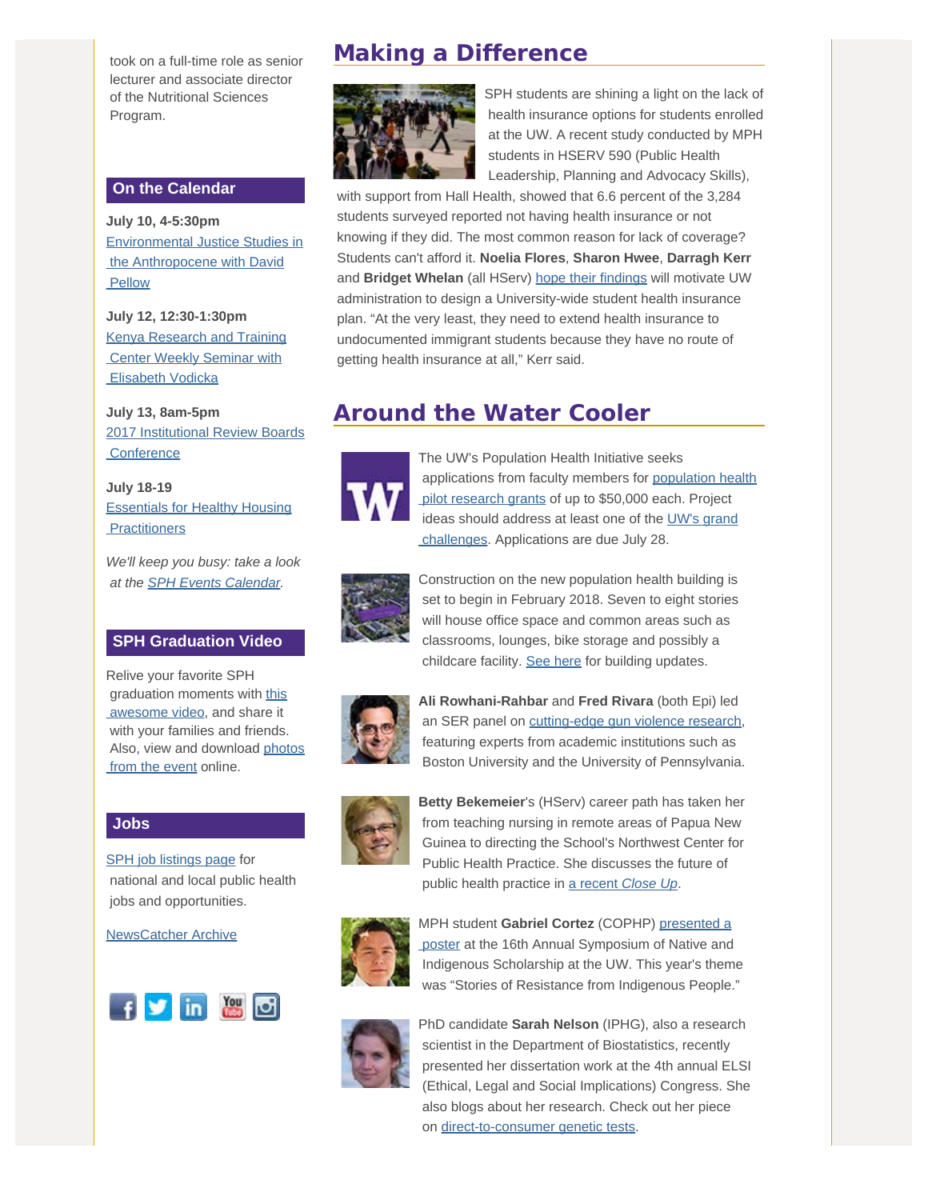took on a full-time role as senior lecturer and associate director of the Nutritional Sciences Program.

#### **On the Calendar**

**July 10, 4-5:30pm** [Environmental Justice Studies in](http://engage.washington.edu/site/R?i=iyRMdFVjYk2DLcHDeK7SCg)  [the Anthropocene with David](http://engage.washington.edu/site/R?i=iyRMdFVjYk2DLcHDeK7SCg) **Pellow** 

**July 12, 12:30-1:30pm** [Kenya Research and Training](http://engage.washington.edu/site/R?i=GNgRBVntpWvWRkxkAUDhDg)  [Center Weekly Seminar with](http://engage.washington.edu/site/R?i=GNgRBVntpWvWRkxkAUDhDg)  [Elisabeth Vodicka](http://engage.washington.edu/site/R?i=GNgRBVntpWvWRkxkAUDhDg)

**July 13, 8am-5pm** [2017 Institutional Review Boards](http://engage.washington.edu/site/R?i=ZVRF3zql0sptIlvRNMpWgg) **Conference** 

**July 18-19** [Essentials for Healthy Housing](http://engage.washington.edu/site/R?i=ahDf6gha7lNUrvac1vZxTg) **Practitioners** 

*We'll keep you busy: take a look at the [SPH Events Calendar](http://engage.washington.edu/site/R?i=U1nVRQ3lYSKWPiGVh8NyFw).*

### **SPH Graduation Video**

Relive your favorite SPH graduation moments with [this](http://engage.washington.edu/site/R?i=Rk3vg0oNPaxQljqz7OueIA)  [awesome video](http://engage.washington.edu/site/R?i=Rk3vg0oNPaxQljqz7OueIA), and share it with your families and friends. Also, view and download [photos](http://engage.washington.edu/site/R?i=fix9cH8NvhSgOiWvvV41Vg) from the event online.

#### **Jobs**

[SPH job listings page](http://engage.washington.edu/site/R?i=lSoL2MpVV8WSNDxvX0FDOA) for national and local public health jobs and opportunities.

[NewsCatcher Archive](http://engage.washington.edu/site/R?i=X-9uCB5sKQkb3-9Ax4WYeA)



## **Making a Difference**



SPH students are shining a light on the lack of health insurance options for students enrolled at the UW. A recent study conducted by MPH students in HSERV 590 (Public Health Leadership, Planning and Advocacy Skills),

 with support from Hall Health, showed that 6.6 percent of the 3,284 students surveyed reported not having health insurance or not knowing if they did. The most common reason for lack of coverage? Students can't afford it. **Noelia Flores**, **Sharon Hwee**, **Darragh Kerr** and **Bridget Whelan** (all HServ) [hope their findings](http://engage.washington.edu/site/R?i=tNu8pc42JnXmRZLgFZ2P4w) will motivate UW administration to design a University-wide student health insurance plan. "At the very least, they need to extend health insurance to undocumented immigrant students because they have no route of getting health insurance at all," Kerr said.

## **Around the Water Cooler**



The UW's Population Health Initiative seeks applications from faculty members for [population health](http://engage.washington.edu/site/R?i=Q0IoaOvRgirQ3ewXBWWEWg) pilot research grants of up to \$50,000 each. Project ideas should address at least one of the [UW's grand](http://engage.washington.edu/site/R?i=NLI8WU90Y7TtkzmmBkHOfQ)  [challenges](http://engage.washington.edu/site/R?i=NLI8WU90Y7TtkzmmBkHOfQ). Applications are due July 28.



Construction on the new population health building is set to begin in February 2018. Seven to eight stories will house office space and common areas such as classrooms, lounges, bike storage and possibly a childcare facility. [See here](http://engage.washington.edu/site/R?i=sYucCvTonfUFv6w-nLuOqA) for building updates.



**Ali Rowhani-Rahbar** and **Fred Rivara** (both Epi) led an SER panel on [cutting-edge gun violence research](http://engage.washington.edu/site/R?i=vrEs8x16xuKDt4m97MMllA), featuring experts from academic institutions such as Boston University and the University of Pennsylvania.



**Betty Bekemeier**'s (HServ) career path has taken her from teaching nursing in remote areas of Papua New Guinea to directing the School's Northwest Center for Public Health Practice. She discusses the future of public health practice in [a recent](http://engage.washington.edu/site/R?i=aC3EiDIhh0Z_p4Iu5dkw_Q) *[Close Up](http://engage.washington.edu/site/R?i=aC3EiDIhh0Z_p4Iu5dkw_Q)*.



MPH student **Gabriel Cortez** (COPHP) [presented a](http://engage.washington.edu/site/R?i=h-4w1WnY7g8hhryksk-kvg)  [poster](http://engage.washington.edu/site/R?i=h-4w1WnY7g8hhryksk-kvg) at the 16th Annual Symposium of Native and Indigenous Scholarship at the UW. This year's theme was "Stories of Resistance from Indigenous People."



PhD candidate **Sarah Nelson** (IPHG), also a research scientist in the Department of Biostatistics, recently presented her dissertation work at the 4th annual ELSI (Ethical, Legal and Social Implications) Congress. She also blogs about her research. Check out her piece on [direct-to-consumer genetic tests](http://engage.washington.edu/site/R?i=3KBbxriv2ll7miicXwyYgg).